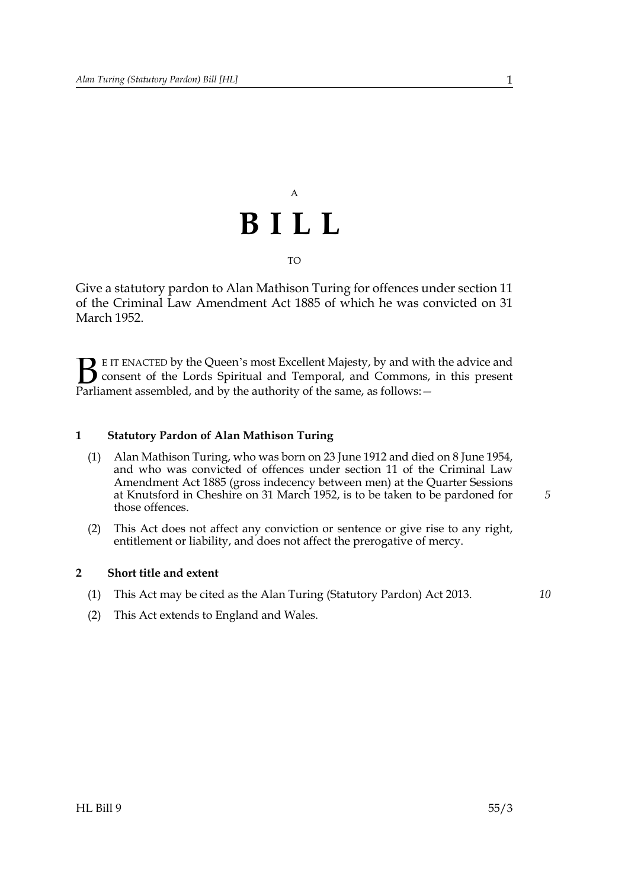## A **BILL** TO

Give a statutory pardon to Alan Mathison Turing for offences under section 11 of the Criminal Law Amendment Act 1885 of which he was convicted on 31 March 1952.

E IT ENACTED by the Queen's most Excellent Majesty, by and with the advice and consent of the Lords Spiritual and Temporal, and Commons, in this present Parliament assembled, and by the authority of the same, as follows: - $\mathbf{B}_{\text{rel}}$ 

## **1 Statutory Pardon of Alan Mathison Turing**

- (1) Alan Mathison Turing, who was born on 23 June 1912 and died on 8 June 1954, and who was convicted of offences under section 11 of the Criminal Law Amendment Act 1885 (gross indecency between men) at the Quarter Sessions at Knutsford in Cheshire on 31 March 1952, is to be taken to be pardoned for those offences.
- (2) This Act does not affect any conviction or sentence or give rise to any right, entitlement or liability, and does not affect the prerogative of mercy.

## **2 Short title and extent**

- (1) This Act may be cited as the Alan Turing (Statutory Pardon) Act 2013.
- (2) This Act extends to England and Wales.

*5*